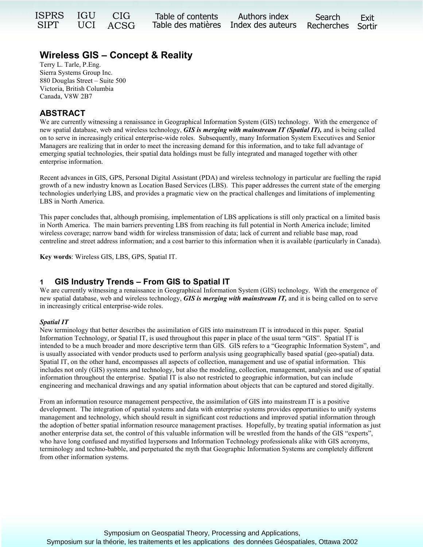| ISPRS IGU CIG |               | Table of contents Authors index                        | Search | Exit |
|---------------|---------------|--------------------------------------------------------|--------|------|
|               | SIPT UCI ACSG | Table des matières Index des auteurs Recherches Sortir |        |      |

# **Wireless GIS – Concept & Reality**

Terry L. Tarle, P.Eng. Sierra Systems Group Inc. 880 Douglas Street – Suite 500 Victoria, British Columbia Canada, V8W 2B7

## **ABSTRACT**

We are currently witnessing a renaissance in Geographical Information System (GIS) technology. With the emergence of new spatial database, web and wireless technology, *GIS is merging with mainstream IT (Spatial IT),* and is being called on to serve in increasingly critical enterprise-wide roles. Subsequently, many Information System Executives and Senior Managers are realizing that in order to meet the increasing demand for this information, and to take full advantage of emerging spatial technologies, their spatial data holdings must be fully integrated and managed together with other enterprise information.

Recent advances in GIS, GPS, Personal Digital Assistant (PDA) and wireless technology in particular are fuelling the rapid growth of a new industry known as Location Based Services (LBS). This paper addresses the current state of the emerging technologies underlying LBS, and provides a pragmatic view on the practical challenges and limitations of implementing LBS in North America.

This paper concludes that, although promising, implementation of LBS applications is still only practical on a limited basis in North America. The main barriers preventing LBS from reaching its full potential in North America include; limited wireless coverage; narrow band width for wireless transmission of data; lack of current and reliable base map, road centreline and street address information; and a cost barrier to this information when it is available (particularly in Canada).

**Key words**: Wireless GIS, LBS, GPS, Spatial IT.

## **1 GIS Industry Trends – From GIS to Spatial IT**

We are currently witnessing a renaissance in Geographical Information System (GIS) technology. With the emergence of new spatial database, web and wireless technology, *GIS is merging with mainstream IT,* and it is being called on to serve in increasingly critical enterprise-wide roles.

## *Spatial IT*

New terminology that better describes the assimilation of GIS into mainstream IT is introduced in this paper. Spatial Information Technology, or Spatial IT, is used throughout this paper in place of the usual term "GIS". Spatial IT is intended to be a much broader and more descriptive term than GIS. GIS refers to a "Geographic Information System", and is usually associated with vendor products used to perform analysis using geographically based spatial (geo-spatial) data. Spatial IT, on the other hand, encompasses all aspects of collection, management and use of spatial information. This includes not only (GIS) systems and technology, but also the modeling, collection, management, analysis and use of spatial information throughout the enterprise. Spatial IT is also not restricted to geographic information, but can include engineering and mechanical drawings and any spatial information about objects that can be captured and stored digitally.

From an information resource management perspective, the assimilation of GIS into mainstream IT is a positive development. The integration of spatial systems and data with enterprise systems provides opportunities to unify systems management and technology, which should result in significant cost reductions and improved spatial information through the adoption of better spatial information resource management practises. Hopefully, by treating spatial information as just another enterprise data set, the control of this valuable information will be wrestled from the hands of the GIS "experts", who have long confused and mystified laypersons and Information Technology professionals alike with GIS acronyms, terminology and techno-babble, and perpetuated the myth that Geographic Information Systems are completely different from other information systems.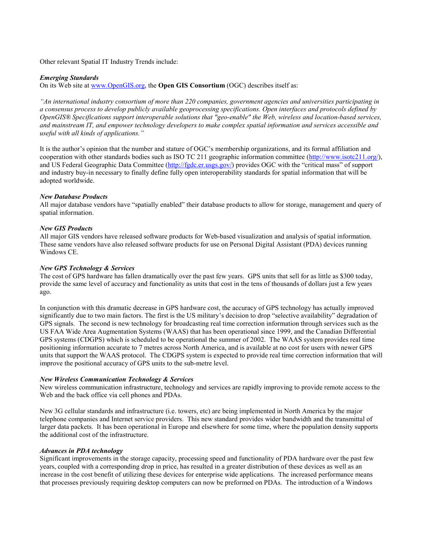Other relevant Spatial IT Industry Trends include:

### *Emerging Standards*

On its Web site at [www.OpenGIS.org,](http://www.opengis.org/) the **Open GIS Consortium** (OGC) describes itself as:

*"An international industry consortium of more than 220 companies, government agencies and universities participating in a consensus process to develop publicly available geoprocessing specifications. Open interfaces and protocols defined by OpenGIS® Specifications support interoperable solutions that "geo-enable" the Web, wireless and location-based services, and mainstream IT, and empower technology developers to make complex spatial information and services accessible and useful with all kinds of applications."* 

It is the author's opinion that the number and stature of OGC's membership organizations, and its formal affiliation and cooperation with other standards bodies such as ISO TC 211 geographic information committee [\(http://www.isotc211.org/\)](http://www.isotc211.org/), and US Federal Geographic Data Committee [\(http://fgdc.er.usgs.gov/\)](http://fgdc.er.usgs.gov/) provides OGC with the "critical mass" of support and industry buy-in necessary to finally define fully open interoperability standards for spatial information that will be adopted worldwide.

### *New Database Products*

All major database vendors have "spatially enabled" their database products to allow for storage, management and query of spatial information.

### *New GIS Products*

All major GIS vendors have released software products for Web-based visualization and analysis of spatial information. These same vendors have also released software products for use on Personal Digital Assistant (PDA) devices running Windows CE.

### *New GPS Technology & Services*

The cost of GPS hardware has fallen dramatically over the past few years. GPS units that sell for as little as \$300 today, provide the same level of accuracy and functionality as units that cost in the tens of thousands of dollars just a few years ago.

In conjunction with this dramatic decrease in GPS hardware cost, the accuracy of GPS technology has actually improved significantly due to two main factors. The first is the US military's decision to drop "selective availability" degradation of GPS signals. The second is new technology for broadcasting real time correction information through services such as the US FAA Wide Area Augmentation Systems (WAAS) that has been operational since 1999, and the Canadian Differential GPS systems (CDGPS) which is scheduled to be operational the summer of 2002. The WAAS system provides real time positioning information accurate to 7 metres across North America, and is available at no cost for users with newer GPS units that support the WAAS protocol. The CDGPS system is expected to provide real time correction information that will improve the positional accuracy of GPS units to the sub-metre level.

#### *New Wireless Communication Technology & Services*

New wireless communication infrastructure, technology and services are rapidly improving to provide remote access to the Web and the back office via cell phones and PDAs.

New 3G cellular standards and infrastructure (i.e. towers, etc) are being implemented in North America by the major telephone companies and Internet service providers. This new standard provides wider bandwidth and the transmittal of larger data packets. It has been operational in Europe and elsewhere for some time, where the population density supports the additional cost of the infrastructure.

#### *Advances in PDA technology*

Significant improvements in the storage capacity, processing speed and functionality of PDA hardware over the past few years, coupled with a corresponding drop in price, has resulted in a greater distribution of these devices as well as an increase in the cost benefit of utilizing these devices for enterprise wide applications. The increased performance means that processes previously requiring desktop computers can now be preformed on PDAs. The introduction of a Windows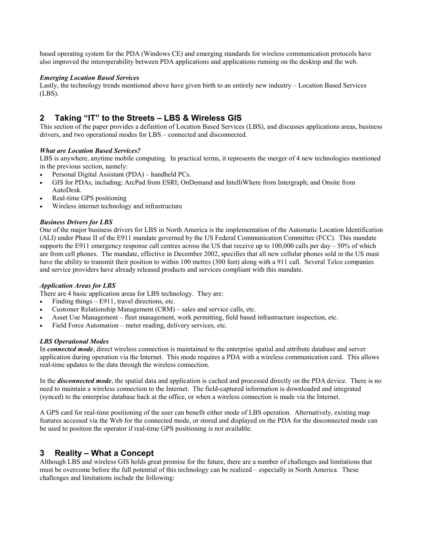based operating system for the PDA (Windows CE) and emerging standards for wireless communication protocols have also improved the interoperability between PDA applications and applications running on the desktop and the web.

## *Emerging Location Based Services*

Lastly, the technology trends mentioned above have given birth to an entirely new industry – Location Based Services (LBS).

## **2 Taking "IT" to the Streets – LBS & Wireless GIS**

This section of the paper provides a definition of Location Based Services (LBS), and discusses applications areas, business drivers, and two operational modes for LBS – connected and disconnected.

## *What are Location Based Services?*

LBS is anywhere, anytime mobile computing. In practical terms, it represents the merger of 4 new technologies mentioned in the previous section, namely:

- Personal Digital Assistant (PDA) handheld PCs.
- GIS for PDAs, including; ArcPad from ESRI; OnDemand and IntelliWhere from Intergraph; and Onsite from AutoDesk.
- Real-time GPS positioning
- Wireless internet technology and infrastructure

## *Business Drivers for LBS*

One of the major business drivers for LBS in North America is the implementation of the Automatic Location Identification (ALI) under Phase II of the E911 mandate governed by the US Federal Communication Committee (FCC). This mandate supports the E911 emergency response call centres across the US that receive up to 100,000 calls per day – 50% of which are from cell phones. The mandate, effective in December 2002, specifies that all new cellular phones sold in the US must have the ability to transmit their position to within 100 metres (300 feet) along with a 911 call. Several Telco companies and service providers have already released products and services compliant with this mandate.

## *Application Areas for LBS*

There are 4 basic application areas for LBS technology. They are:

- Finding things E911, travel directions, etc.
- Customer Relationship Management (CRM) sales and service calls, etc.
- Asset Use Management fleet management, work permitting, field based infrastructure inspection, etc.
- Field Force Automation meter reading, delivery services, etc.

#### *LBS Operational Modes*

In *connected mode*, direct wireless connection is maintained to the enterprise spatial and attribute database and server application during operation via the Internet. This mode requires a PDA with a wireless communication card. This allows real-time updates to the data through the wireless connection.

In the *disconnected mode*, the spatial data and application is cached and processed directly on the PDA device. There is no need to maintain a wireless connection to the Internet. The field-captured information is downloaded and integrated (synced) to the enterprise database back at the office, or when a wireless connection is made via the Internet.

A GPS card for real-time positioning of the user can benefit either mode of LBS operation. Alternatively, existing map features accessed via the Web for the connected mode, or stored and displayed on the PDA for the disconnected mode can be used to position the operator if real-time GPS positioning is not available.

## **3 Reality – What a Concept**

Although LBS and wireless GIS holds great promise for the future, there are a number of challenges and limitations that must be overcome before the full potential of this technology can be realized – especially in North America. These challenges and limitations include the following: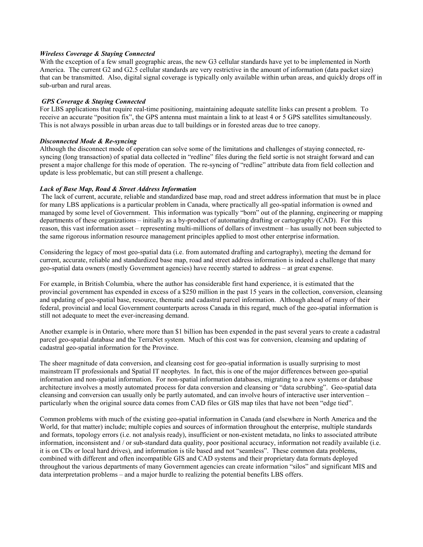#### *Wireless Coverage & Staying Connected*

With the exception of a few small geographic areas, the new G3 cellular standards have yet to be implemented in North America. The current G2 and G2.5 cellular standards are very restrictive in the amount of information (data packet size) that can be transmitted. Also, digital signal coverage is typically only available within urban areas, and quickly drops off in sub-urban and rural areas.

### *GPS Coverage & Staying Connected*

For LBS applications that require real-time positioning, maintaining adequate satellite links can present a problem. To receive an accurate "position fix", the GPS antenna must maintain a link to at least 4 or 5 GPS satellites simultaneously. This is not always possible in urban areas due to tall buildings or in forested areas due to tree canopy.

### *Disconnected Mode & Re-syncing*

Although the disconnect mode of operation can solve some of the limitations and challenges of staying connected, resyncing (long transaction) of spatial data collected in "redline" files during the field sortie is not straight forward and can present a major challenge for this mode of operation. The re-syncing of "redline" attribute data from field collection and update is less problematic, but can still present a challenge.

### *Lack of Base Map, Road & Street Address Information*

The lack of current, accurate, reliable and standardized base map, road and street address information that must be in place for many LBS applications is a particular problem in Canada, where practically all geo-spatial information is owned and managed by some level of Government. This information was typically "born" out of the planning, engineering or mapping departments of these organizations – initially as a by-product of automating drafting or cartography (CAD). For this reason, this vast information asset – representing multi-millions of dollars of investment – has usually not been subjected to the same rigorous information resource management principles applied to most other enterprise information.

Considering the legacy of most geo-spatial data (i.e. from automated drafting and cartography), meeting the demand for current, accurate, reliable and standardized base map, road and street address information is indeed a challenge that many geo-spatial data owners (mostly Government agencies) have recently started to address – at great expense.

For example, in British Columbia, where the author has considerable first hand experience, it is estimated that the provincial government has expended in excess of a \$250 million in the past 15 years in the collection, conversion, cleansing and updating of geo-spatial base, resource, thematic and cadastral parcel information. Although ahead of many of their federal, provincial and local Government counterparts across Canada in this regard, much of the geo-spatial information is still not adequate to meet the ever-increasing demand.

Another example is in Ontario, where more than \$1 billion has been expended in the past several years to create a cadastral parcel geo-spatial database and the TerraNet system. Much of this cost was for conversion, cleansing and updating of cadastral geo-spatial information for the Province.

The sheer magnitude of data conversion, and cleansing cost for geo-spatial information is usually surprising to most mainstream IT professionals and Spatial IT neophytes. In fact, this is one of the major differences between geo-spatial information and non-spatial information. For non-spatial information databases, migrating to a new systems or database architecture involves a mostly automated process for data conversion and cleansing or "data scrubbing". Geo-spatial data cleansing and conversion can usually only be partly automated, and can involve hours of interactive user intervention – particularly when the original source data comes from CAD files or GIS map tiles that have not been "edge tied".

Common problems with much of the existing geo-spatial information in Canada (and elsewhere in North America and the World, for that matter) include; multiple copies and sources of information throughout the enterprise, multiple standards and formats, topology errors (i.e. not analysis ready), insufficient or non-existent metadata, no links to associated attribute information, inconsistent and / or sub-standard data quality, poor positional accuracy, information not readily available (i.e. it is on CDs or local hard drives), and information is tile based and not "seamless". These common data problems, combined with different and often incompatible GIS and CAD systems and their proprietary data formats deployed throughout the various departments of many Government agencies can create information "silos" and significant MIS and data interpretation problems – and a major hurdle to realizing the potential benefits LBS offers.